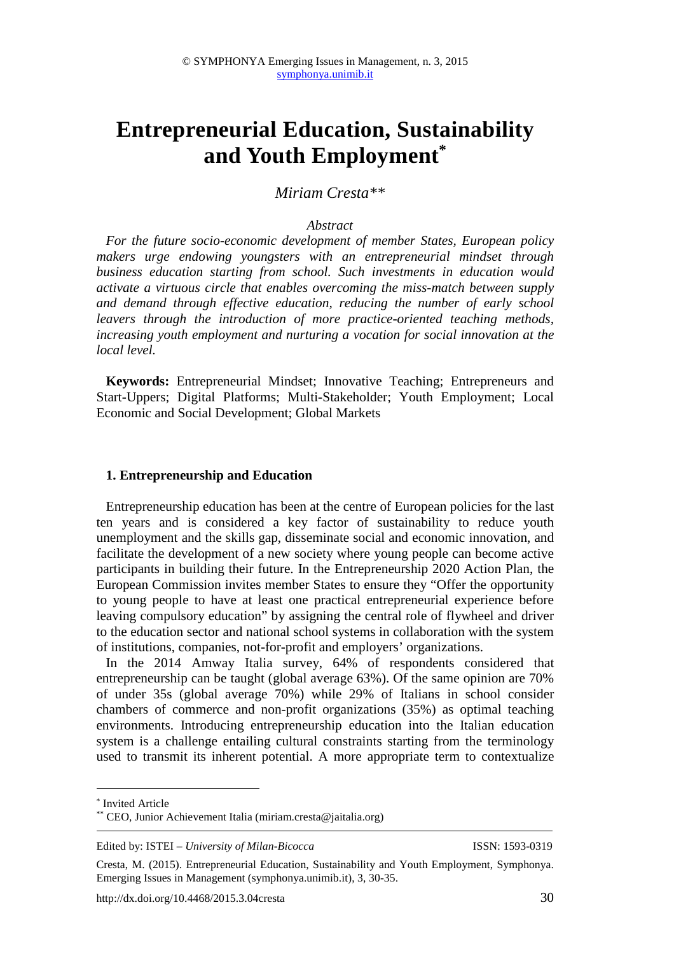# **Entrepreneurial Education, Sustainability and Youth Employment\***

# *Miriam Cresta\*\**

### *Abstract*

*For the future socio-economic development of member States, European policy makers urge endowing youngsters with an entrepreneurial mindset through business education starting from school. Such investments in education would activate a virtuous circle that enables overcoming the miss-match between supply and demand through effective education, reducing the number of early school leavers through the introduction of more practice-oriented teaching methods, increasing youth employment and nurturing a vocation for social innovation at the local level.* 

**Keywords:** Entrepreneurial Mindset; Innovative Teaching; Entrepreneurs and Start-Uppers; Digital Platforms; Multi-Stakeholder; Youth Employment; Local Economic and Social Development; Global Markets

#### **1. Entrepreneurship and Education**

Entrepreneurship education has been at the centre of European policies for the last ten years and is considered a key factor of sustainability to reduce youth unemployment and the skills gap, disseminate social and economic innovation, and facilitate the development of a new society where young people can become active participants in building their future. In the Entrepreneurship 2020 Action Plan, the European Commission invites member States to ensure they "Offer the opportunity to young people to have at least one practical entrepreneurial experience before leaving compulsory education" by assigning the central role of flywheel and driver to the education sector and national school systems in collaboration with the system of institutions, companies, not-for-profit and employers' organizations.

In the 2014 Amway Italia survey, 64% of respondents considered that entrepreneurship can be taught (global average 63%). Of the same opinion are 70% of under 35s (global average 70%) while 29% of Italians in school consider chambers of commerce and non-profit organizations (35%) as optimal teaching environments. Introducing entrepreneurship education into the Italian education system is a challenge entailing cultural constraints starting from the terminology used to transmit its inherent potential. A more appropriate term to contextualize

 $\overline{a}$ 

<sup>\*</sup> Invited Article

<sup>\*\*</sup> CEO, Junior Achievement Italia (miriam.cresta@jaitalia.org)

Edited by: ISTEI – *University of Milan-Bicocca* ISSN: 1593-0319

Cresta, M. (2015). Entrepreneurial Education, Sustainability and Youth Employment, Symphonya. Emerging Issues in Management (symphonya.unimib.it), 3, 30-35.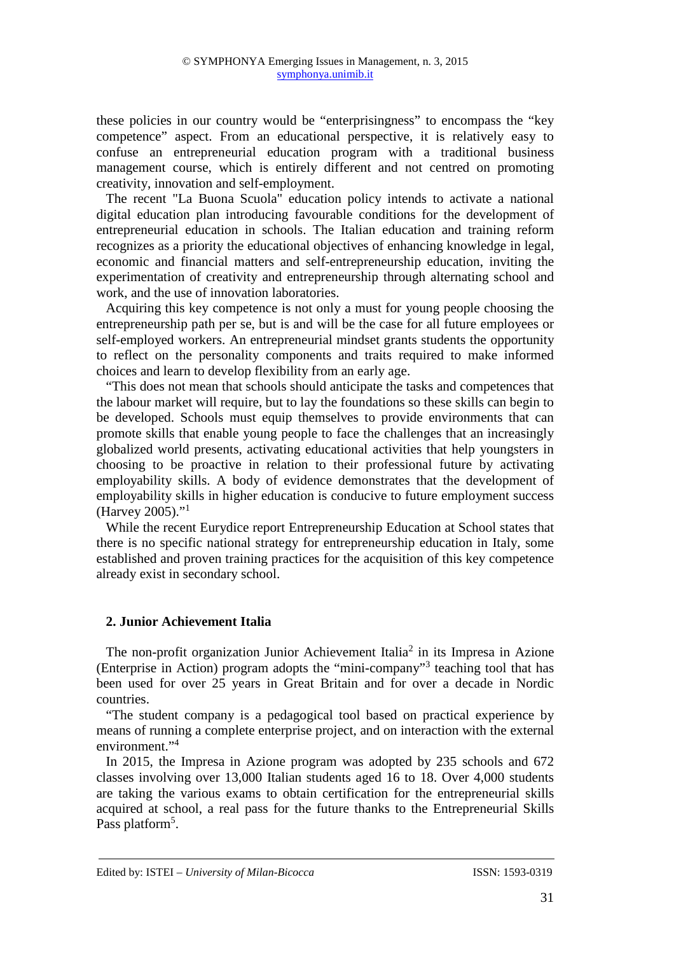these policies in our country would be "enterprisingness" to encompass the "key competence" aspect. From an educational perspective, it is relatively easy to confuse an entrepreneurial education program with a traditional business management course, which is entirely different and not centred on promoting creativity, innovation and self-employment.

The recent "La Buona Scuola" education policy intends to activate a national digital education plan introducing favourable conditions for the development of entrepreneurial education in schools. The Italian education and training reform recognizes as a priority the educational objectives of enhancing knowledge in legal, economic and financial matters and self-entrepreneurship education, inviting the experimentation of creativity and entrepreneurship through alternating school and work, and the use of innovation laboratories.

Acquiring this key competence is not only a must for young people choosing the entrepreneurship path per se, but is and will be the case for all future employees or self-employed workers. An entrepreneurial mindset grants students the opportunity to reflect on the personality components and traits required to make informed choices and learn to develop flexibility from an early age.

"This does not mean that schools should anticipate the tasks and competences that the labour market will require, but to lay the foundations so these skills can begin to be developed. Schools must equip themselves to provide environments that can promote skills that enable young people to face the challenges that an increasingly globalized world presents, activating educational activities that help youngsters in choosing to be proactive in relation to their professional future by activating employability skills. A body of evidence demonstrates that the development of employability skills in higher education is conducive to future employment success (Harvey 2005)."<sup>1</sup>

While the recent Eurydice report Entrepreneurship Education at School states that there is no specific national strategy for entrepreneurship education in Italy, some established and proven training practices for the acquisition of this key competence already exist in secondary school.

## **2. Junior Achievement Italia**

The non-profit organization Junior Achievement Italia<sup>2</sup> in its Impresa in Azione (Enterprise in Action) program adopts the "mini-company"<sup>3</sup> teaching tool that has been used for over 25 years in Great Britain and for over a decade in Nordic countries.

"The student company is a pedagogical tool based on practical experience by means of running a complete enterprise project, and on interaction with the external environment."<sup>4</sup>

In 2015, the Impresa in Azione program was adopted by 235 schools and 672 classes involving over 13,000 Italian students aged 16 to 18. Over 4,000 students are taking the various exams to obtain certification for the entrepreneurial skills acquired at school, a real pass for the future thanks to the Entrepreneurial Skills Pass platform<sup>5</sup>.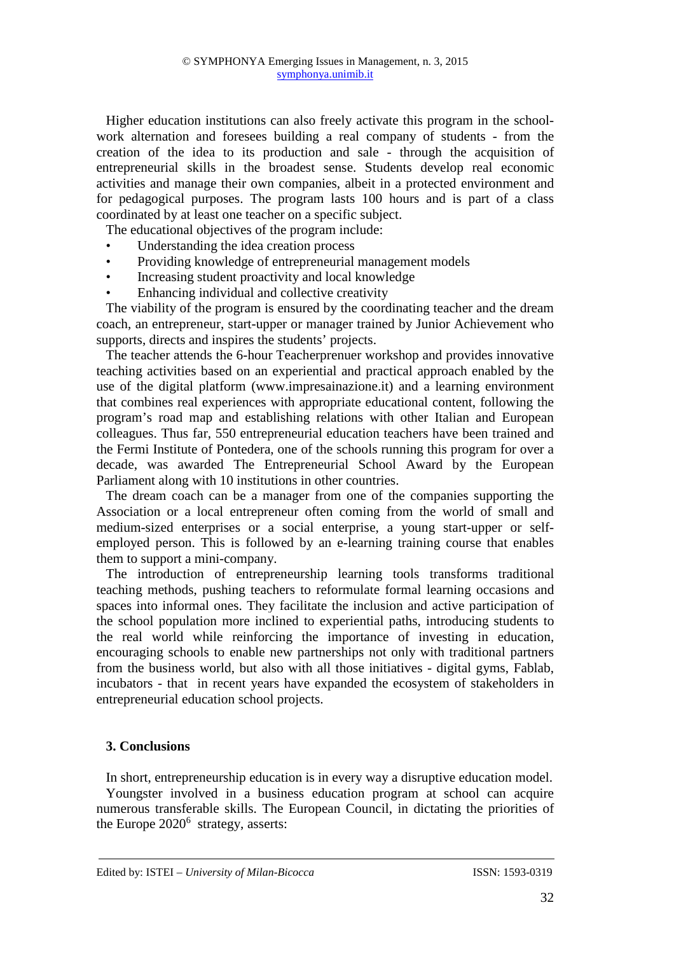Higher education institutions can also freely activate this program in the schoolwork alternation and foresees building a real company of students - from the creation of the idea to its production and sale - through the acquisition of entrepreneurial skills in the broadest sense. Students develop real economic activities and manage their own companies, albeit in a protected environment and for pedagogical purposes. The program lasts 100 hours and is part of a class coordinated by at least one teacher on a specific subject.

The educational objectives of the program include:

- Understanding the idea creation process
- Providing knowledge of entrepreneurial management models
- Increasing student proactivity and local knowledge
- Enhancing individual and collective creativity

The viability of the program is ensured by the coordinating teacher and the dream coach, an entrepreneur, start-upper or manager trained by Junior Achievement who supports, directs and inspires the students' projects.

The teacher attends the 6-hour Teacherprenuer workshop and provides innovative teaching activities based on an experiential and practical approach enabled by the use of the digital platform (www.impresainazione.it) and a learning environment that combines real experiences with appropriate educational content, following the program's road map and establishing relations with other Italian and European colleagues. Thus far, 550 entrepreneurial education teachers have been trained and the Fermi Institute of Pontedera, one of the schools running this program for over a decade, was awarded The Entrepreneurial School Award by the European Parliament along with 10 institutions in other countries.

The dream coach can be a manager from one of the companies supporting the Association or a local entrepreneur often coming from the world of small and medium-sized enterprises or a social enterprise, a young start-upper or selfemployed person. This is followed by an e-learning training course that enables them to support a mini-company.

The introduction of entrepreneurship learning tools transforms traditional teaching methods, pushing teachers to reformulate formal learning occasions and spaces into informal ones. They facilitate the inclusion and active participation of the school population more inclined to experiential paths, introducing students to the real world while reinforcing the importance of investing in education, encouraging schools to enable new partnerships not only with traditional partners from the business world, but also with all those initiatives - digital gyms, Fablab, incubators - that in recent years have expanded the ecosystem of stakeholders in entrepreneurial education school projects.

## **3. Conclusions**

In short, entrepreneurship education is in every way a disruptive education model. Youngster involved in a business education program at school can acquire numerous transferable skills. The European Council, in dictating the priorities of the Europe  $2020^6$  strategy, asserts: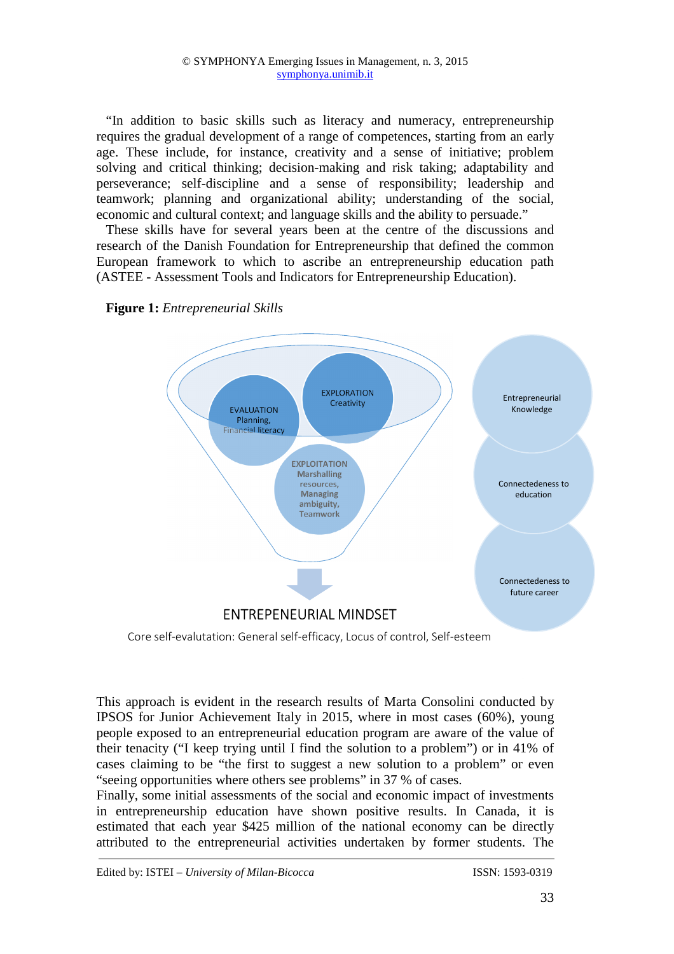"In addition to basic skills such as literacy and numeracy, entrepreneurship requires the gradual development of a range of competences, starting from an early age. These include, for instance, creativity and a sense of initiative; problem solving and critical thinking; decision-making and risk taking; adaptability and perseverance; self-discipline and a sense of responsibility; leadership and teamwork; planning and organizational ability; understanding of the social, economic and cultural context; and language skills and the ability to persuade."

These skills have for several years been at the centre of the discussions and research of the Danish Foundation for Entrepreneurship that defined the common European framework to which to ascribe an entrepreneurship education path (ASTEE - Assessment Tools and Indicators for Entrepreneurship Education).





Core self-evalutation: General self-efficacy, Locus of control, Self-esteem

This approach is evident in the research results of Marta Consolini conducted by IPSOS for Junior Achievement Italy in 2015, where in most cases (60%), young people exposed to an entrepreneurial education program are aware of the value of their tenacity ("I keep trying until I find the solution to a problem") or in 41% of cases claiming to be "the first to suggest a new solution to a problem" or even "seeing opportunities where others see problems" in 37 % of cases.

Finally, some initial assessments of the social and economic impact of investments in entrepreneurship education have shown positive results. In Canada, it is estimated that each year \$425 million of the national economy can be directly attributed to the entrepreneurial activities undertaken by former students. The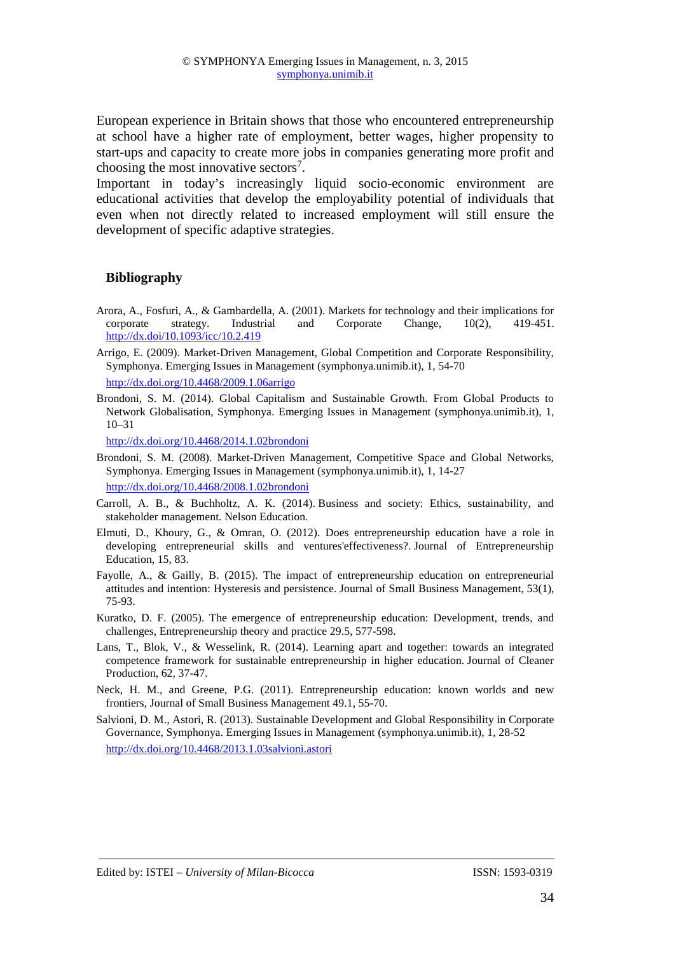European experience in Britain shows that those who encountered entrepreneurship at school have a higher rate of employment, better wages, higher propensity to start-ups and capacity to create more jobs in companies generating more profit and choosing the most innovative sectors<sup>7</sup>.

Important in today's increasingly liquid socio-economic environment are educational activities that develop the employability potential of individuals that even when not directly related to increased employment will still ensure the development of specific adaptive strategies.

## **Bibliography**

- Arora, A., Fosfuri, A., & Gambardella, A. (2001). Markets for technology and their implications for corporate strategy. Industrial and Corporate Change, 10(2), 419-451. http://dx.doi/10.1093/icc/10.2.419
- Arrigo, E. (2009). Market-Driven Management, Global Competition and Corporate Responsibility, Symphonya. Emerging Issues in Management (symphonya.unimib.it), 1, 54-70 http://dx.doi.org/10.4468/2009.1.06arrigo
- Brondoni, S. M. (2014). Global Capitalism and Sustainable Growth. From Global Products to Network Globalisation, Symphonya. Emerging Issues in Management (symphonya.unimib.it), 1, 10–31

http://dx.doi.org/10.4468/2014.1.02brondoni

- Brondoni, S. M. (2008). Market-Driven Management, Competitive Space and Global Networks, Symphonya. Emerging Issues in Management (symphonya.unimib.it), 1, 14-27 http://dx.doi.org/10.4468/2008.1.02brondoni
- Carroll, A. B., & Buchholtz, A. K. (2014). Business and society: Ethics, sustainability, and stakeholder management. Nelson Education.
- Elmuti, D., Khoury, G., & Omran, O. (2012). Does entrepreneurship education have a role in developing entrepreneurial skills and ventures'effectiveness?. Journal of Entrepreneurship Education, 15, 83.
- Fayolle, A., & Gailly, B. (2015). The impact of entrepreneurship education on entrepreneurial attitudes and intention: Hysteresis and persistence. Journal of Small Business Management, 53(1), 75-93.
- Kuratko, D. F. (2005). The emergence of entrepreneurship education: Development, trends, and challenges, Entrepreneurship theory and practice 29.5, 577-598.
- Lans, T., Blok, V., & Wesselink, R. (2014). Learning apart and together: towards an integrated competence framework for sustainable entrepreneurship in higher education. Journal of Cleaner Production, 62, 37-47.
- Neck, H. M., and Greene, P.G. (2011). Entrepreneurship education: known worlds and new frontiers, Journal of Small Business Management 49.1, 55-70.
- Salvioni, D. M., Astori, R. (2013). Sustainable Development and Global Responsibility in Corporate Governance, Symphonya. Emerging Issues in Management (symphonya.unimib.it), 1, 28-52 http://dx.doi.org/10.4468/2013.1.03salvioni.astori